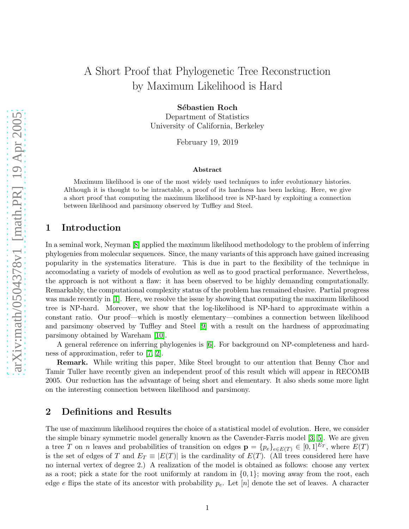# A Short Proof that Phylogenetic Tree Reconstruction by Maximum Likelihood is Hard

Sébastien Roch

Department of Statistics University of California, Berkeley

February 19, 2019

#### Abstract

Maximum likelihood is one of the most widely used techniques to infer evolutionary histories. Although it is thought to be intractable, a proof of its hardness has been lacking. Here, we give a short proof that computing the maximum likelihood tree is NP-hard by exploiting a connection between likelihood and parsimony observed by Tuffley and Steel.

### 1 Introduction

In a seminal work, Neyman [\[8\]](#page-3-0) applied the maximum likelihood methodology to the problem of inferring phylogenies from molecular sequences. Since, the many variants of this approach have gained increasing popularity in the systematics literature. This is due in part to the flexibility of the technique in accomodating a variety of models of evolution as well as to good practical performance. Nevertheless, the approach is not without a flaw: it has been observed to be highly demanding computationally. Remarkably, the computational complexity status of the problem has remained elusive. Partial progress was made recently in [\[1\]](#page-3-1). Here, we resolve the issue by showing that computing the maximum likelihood tree is NP-hard. Moreover, we show that the log-likelihood is NP-hard to approximate within a constant ratio. Our proof—which is mostly elementary—combines a connection between likelihood and parsimony observed by Tuffley and Steel [\[9\]](#page-3-2) with a result on the hardness of approximating parsimony obtained by Wareham [\[10\]](#page-3-3).

A general reference on inferring phylogenies is [\[6\]](#page-3-4). For background on NP-completeness and hardness of approximation, refer to [\[7,](#page-3-5) [2\]](#page-3-6).

Remark. While writing this paper, Mike Steel brought to our attention that Benny Chor and Tamir Tuller have recently given an independent proof of this result which will appear in RECOMB 2005. Our reduction has the advantage of being short and elementary. It also sheds some more light on the interesting connection between likelihood and parsimony.

# 2 Definitions and Results

The use of maximum likelihood requires the choice of a statistical model of evolution. Here, we consider the simple binary symmetric model generally known as the Cavender-Farris model [\[3,](#page-3-7) [5\]](#page-3-8). We are given a tree T on n leaves and probabilities of transition on edges  $\mathbf{p} = \{p_e\}_{e \in E(T)} \in [0,1]^{E_T}$ , where  $E(T)$ is the set of edges of T and  $E_T \equiv |E(T)|$  is the cardinality of  $E(T)$ . (All trees considered here have no internal vertex of degree 2.) A realization of the model is obtained as follows: choose any vertex as a root; pick a state for the root uniformly at random in  $\{0, 1\}$ ; moving away from the root, each edge e flips the state of its ancestor with probability  $p_e$ . Let  $[n]$  denote the set of leaves. A character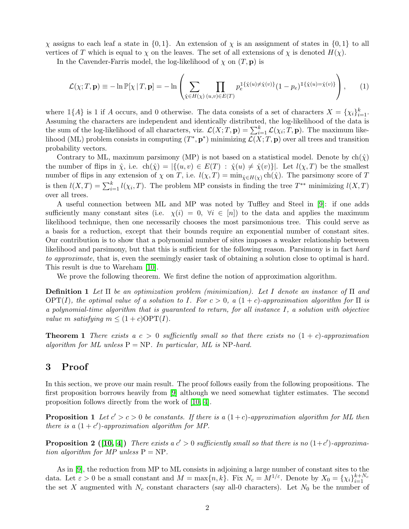$\chi$  assigns to each leaf a state in {0, 1}. An extension of  $\chi$  is an assignment of states in {0, 1} to all vertices of T which is equal to  $\chi$  on the leaves. The set of all extensions of  $\chi$  is denoted  $H(\chi)$ .

In the Cavender-Farris model, the log-likelihood of  $\chi$  on  $(T, \mathbf{p})$  is

$$
\mathcal{L}(\chi;T,\mathbf{p}) \equiv -\ln \mathbb{P}[\chi | T, \mathbf{p}] = -\ln \left( \sum_{\hat{\chi} \in H(\chi)} \prod_{(u,v) \in E(T)} p_e^{\mathbb{I}\{\hat{\chi}(u) \neq \hat{\chi}(v)\}} (1 - p_e)^{\mathbb{I}\{\hat{\chi}(u) = \hat{\chi}(v)\}} \right), \quad (1)
$$

where  $\mathbb{1}{A}$  is 1 if A occurs, and 0 otherwise. The data consists of a set of characters  $X = \{\chi_i\}_{i=1}^k$ . Assuming the characters are independent and identically distributed, the log-likelihood of the data is the sum of the log-likelihood of all characters, viz.  $\mathcal{L}(X;T,\mathbf{p}) = \sum_{i=1}^{k} \mathcal{L}(\chi_i;T,\mathbf{p})$ . The maximum likelihood (ML) problem consists in computing  $(T^*, \mathbf{p}^*)$  minimizing  $\mathcal{L}(X; T, \mathbf{p})$  over all trees and transition probability vectors.

Contrary to ML, maximum parsimony (MP) is not based on a statistical model. Denote by  $\text{ch}(\hat{\chi})$ the number of flips in  $\hat{\chi}$ , i.e.  $\text{ch}(\hat{\chi}) = |\{(u, v) \in E(T) : \hat{\chi}(u) \neq \hat{\chi}(v)\}|$ . Let  $l(\chi, T)$  be the smallest number of flips in any extension of  $\chi$  on T, i.e.  $l(\chi, T) = \min_{\hat{\chi} \in H(\chi)} ch(\hat{\chi})$ . The parsimony score of T is then  $l(X,T) = \sum_{i=1}^{k} l(\chi_i, T)$ . The problem MP consists in finding the tree  $T^{**}$  minimizing  $l(X,T)$ over all trees.

A useful connection between ML and MP was noted by Tuffley and Steel in [\[9\]](#page-3-2): if one adds sufficiently many constant sites (i.e.  $\chi(i) = 0, \forall i \in [n]$ ) to the data and applies the maximum likelihood technique, then one necessarily chooses the most parsimonious tree. This could serve as a basis for a reduction, except that their bounds require an exponential number of constant sites. Our contribution is to show that a polynomial number of sites imposes a weaker relationship between likelihood and parsimony, but that this is sufficient for the following reason. Parsimony is in fact hard to approximate, that is, even the seemingly easier task of obtaining a solution close to optimal is hard. This result is due to Wareham [\[10\]](#page-3-3).

We prove the following theorem. We first define the notion of approximation algorithm.

Definition 1 Let Π be an optimization problem (minimization). Let I denote an instance of Π and  $\text{OPT}(I)$ , the optimal value of a solution to I. For  $c > 0$ , a  $(1+c)$ -approximation algorithm for  $\Pi$  is a polynomial-time algorithm that is guaranteed to return, for all instance I, a solution with objective value m satisfying  $m \leq (1+c)\text{OPT}(I)$ .

**Theorem 1** There exists a  $c > 0$  sufficiently small so that there exists no  $(1 + c)$ -approximation algorithm for ML unless  $P = NP$ . In particular, ML is NP-hard.

# 3 Proof

<span id="page-1-0"></span>In this section, we prove our main result. The proof follows easily from the following propositions. The first proposition borrows heavily from [\[9\]](#page-3-2) although we need somewhat tighter estimates. The second proposition follows directly from the work of [\[10,](#page-3-3) [4\]](#page-3-9).

**Proposition 1** Let  $c' > c > 0$  be constants. If there is a  $(1+c)$ -approximation algorithm for ML then there is a  $(1 + c')$ -approximation algorithm for MP.

<span id="page-1-1"></span>**Proposition 2** ([\[10,](#page-3-3) [4\]](#page-3-9)) There exists a  $c' > 0$  sufficiently small so that there is no  $(1+c')$ -approximation algorithm for MP unless  $P = NP$ .

As in [\[9\]](#page-3-2), the reduction from MP to ML consists in adjoining a large number of constant sites to the data. Let  $\varepsilon > 0$  be a small constant and  $M = \max\{n, k\}$ . Fix  $N_c = M^{1/\varepsilon}$ . Denote by  $X_0 = \{\chi_i\}_{i=1}^{k+N_c}$ the set X augmented with  $N_c$  constant characters (say all-0 characters). Let  $N_0$  be the number of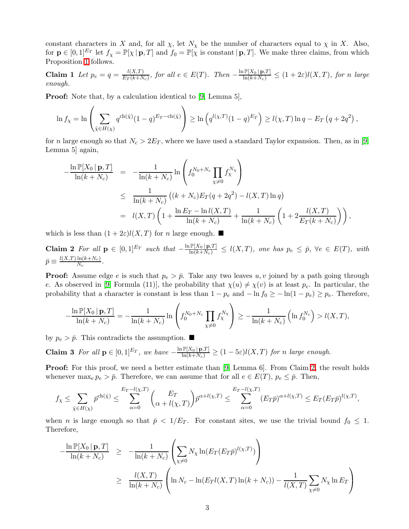<span id="page-2-1"></span>constant characters in X and, for all  $\chi$ , let  $N_{\chi}$  be the number of characters equal to  $\chi$  in X. Also, for  $\mathbf{p} \in [0,1]^{E_T}$  let  $f_\chi = \mathbb{P}[\chi | \mathbf{p}, T]$  and  $f_0 = \mathbb{P}[\chi]$  is constant  $|\mathbf{p}, T]$ . We make three claims, from which Proposition [1](#page-1-0) follows.

Claim 1 Let  $p_e = q = \frac{l(X,T)}{E_T(k+N)}$  $\frac{l(X,T)}{E_T(k+N_c)}$ , for all  $e \in E(T)$ . Then  $-\frac{\ln \mathbb{P}[X_0 | \mathbf{p},T]}{\ln(k+N_c)} \leq (1+2\varepsilon)l(X,T)$ , for n large enough.

Proof: Note that, by a calculation identical to [\[9,](#page-3-2) Lemma 5],

$$
\ln f_{\chi} = \ln \left( \sum_{\hat{\chi} \in H(\chi)} q^{\text{ch}(\hat{\chi})} (1-q)^{E_T - \text{ch}(\hat{\chi})} \right) \ge \ln \left( q^{l(\chi, T)} (1-q)^{E_T} \right) \ge l(\chi, T) \ln q - E_T \left( q + 2q^2 \right),
$$

for n large enough so that  $N_c > 2E_T$ , where we have used a standard Taylor expansion. Then, as in [\[9,](#page-3-2) Lemma 5] again,

$$
-\frac{\ln \mathbb{P}[X_0 | \mathbf{p}, T]}{\ln(k + N_c)} = -\frac{1}{\ln(k + N_c)} \ln \left( f_0^{N_0 + N_c} \prod_{\chi \neq 0} f_\chi^{N_\chi} \right)
$$
  
\n
$$
\leq \frac{1}{\ln(k + N_c)} \left( (k + N_c) E_T(q + 2q^2) - l(X, T) \ln q \right)
$$
  
\n
$$
= l(X, T) \left( 1 + \frac{\ln E_T - \ln l(X, T)}{\ln(k + N_c)} + \frac{1}{\ln(k + N_c)} \left( 1 + 2 \frac{l(X, T)}{E_T(k + N_c)} \right) \right),
$$

<span id="page-2-0"></span>which is less than  $(1+2\varepsilon)l(X,T)$  for n large enough.

Claim 2 For all  $p \in [0,1]^{E_T}$  such that  $-\frac{\ln P[X_0 | p,T]}{\ln(k+N_c)} \le l(X,T)$ , one has  $p_e \le \bar{p}$ ,  $\forall e \in E(T)$ , with  $\bar{p}\equiv\frac{l(X,T)\ln(k+N_c)}{N_c}$  $\frac{\ln(\kappa + N_c)}{N_c}$ .

**Proof:** Assume edge e is such that  $p_e > \bar{p}$ . Take any two leaves u, v joined by a path going through e. As observed in [\[9,](#page-3-2) Formula (11)], the probability that  $\chi(u) \neq \chi(v)$  is at least  $p_e$ . In particular, the probability that a character is constant is less than  $1 - p_e$  and  $-\ln f_0 \ge -\ln(1 - p_e) \ge p_e$ . Therefore,

$$
-\frac{\ln \mathbb{P}[X_0 \mid \mathbf{p}, T]}{\ln (k + N_c)} = -\frac{1}{\ln (k + N_c)} \ln \left( f_0^{N_0 + N_c} \prod_{\chi \neq 0} f_\chi^{N_\chi} \right) \ge -\frac{1}{\ln (k + N_c)} \left( \ln f_0^{N_c} \right) > l(X, T),
$$

by  $p_e > \bar{p}$ . This contradicts the assumption.

**Claim 3** For all 
$$
\mathbf{p} \in [0,1]^{E_T}
$$
, we have  $-\frac{\ln \mathbb{P}[X_0 | \mathbf{p}, T]}{\ln(k + N_c)} \geq (1 - 5\varepsilon)l(X, T)$  for n large enough.

Proof: For this proof, we need a better estimate than [\[9,](#page-3-2) Lemma 6]. From Claim [2,](#page-2-0) the result holds whenever max $_e p_e > \bar{p}$ . Therefore, we can assume that for all  $e \in E(T)$ ,  $p_e \leq \bar{p}$ . Then,

$$
f_{\chi} \leq \sum_{\hat{\chi} \in H(\chi)} \bar{p}^{\text{ch}(\hat{\chi})} \leq \sum_{\alpha=0}^{E_T - l(\chi, T)} \binom{E_T}{\alpha + l(\chi, T)} \bar{p}^{\alpha + l(\chi, T)} \leq \sum_{\alpha=0}^{E_T - l(\chi, T)} (E_T \bar{p})^{\alpha + l(\chi, T)} \leq E_T (E_T \bar{p})^{l(\chi, T)},
$$

when *n* is large enough so that  $\bar{p} < 1/E_T$ . For constant sites, we use the trivial bound  $f_0 \leq 1$ . Therefore,

$$
-\frac{\ln \mathbb{P}[X_0 \mid \mathbf{p}, T]}{\ln(k + N_c)} \geq -\frac{1}{\ln(k + N_c)} \left( \sum_{\chi \neq 0} N_{\chi} \ln(E_T(E_T \bar{p})^{l(\chi, T)}) \right)
$$
  

$$
\geq \frac{l(X, T)}{\ln(k + N_c)} \left( \ln N_c - \ln(E_T l(X, T) \ln(k + N_c)) - \frac{1}{l(X, T)} \sum_{\chi \neq 0} N_{\chi} \ln E_T \right)
$$